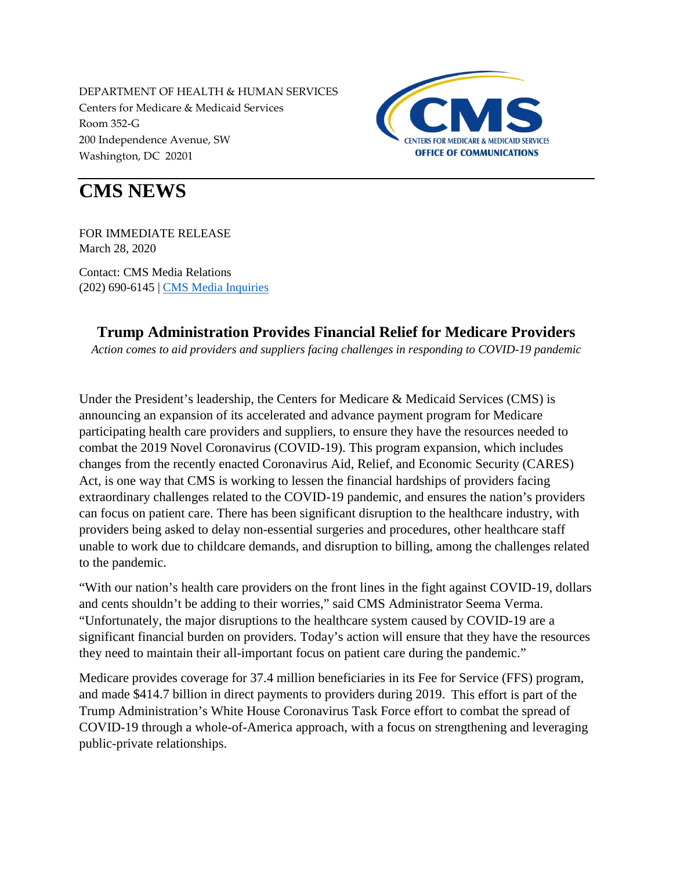DEPARTMENT OF HEALTH & HUMAN SERVICES Centers for Medicare & Medicaid Services Room 352-G 200 Independence Avenue, SW Washington, DC 20201



## **CMS NEWS**

FOR IMMEDIATE RELEASE March 28, 2020

Contact: CMS Media Relations (202) 690-6145 | [CMS Media Inquiries](http://go.cms.gov/media)

## **Trump Administration Provides Financial Relief for Medicare Providers**

*Action comes to aid providers and suppliers facing challenges in responding to COVID-19 pandemic*

Under the President's leadership, the Centers for Medicare & Medicaid Services (CMS) is announcing an expansion of its accelerated and advance payment program for Medicare participating health care providers and suppliers, to ensure they have the resources needed to combat the 2019 Novel Coronavirus (COVID-19). This program expansion, which includes changes from the recently enacted Coronavirus Aid, Relief, and Economic Security (CARES) Act, is one way that CMS is working to lessen the financial hardships of providers facing extraordinary challenges related to the COVID-19 pandemic, and ensures the nation's providers can focus on patient care. There has been significant disruption to the healthcare industry, with providers being asked to delay non-essential surgeries and procedures, other healthcare staff unable to work due to childcare demands, and disruption to billing, among the challenges related to the pandemic.

"With our nation's health care providers on the front lines in the fight against COVID-19, dollars and cents shouldn't be adding to their worries," said CMS Administrator Seema Verma. "Unfortunately, the major disruptions to the healthcare system caused by COVID-19 are a significant financial burden on providers. Today's action will ensure that they have the resources they need to maintain their all-important focus on patient care during the pandemic."

Medicare provides coverage for 37.4 million beneficiaries in its Fee for Service (FFS) program, and made \$414.7 billion in direct payments to providers during 2019. This effort is part of the Trump Administration's White House Coronavirus Task Force effort to combat the spread of COVID-19 through a whole-of-America approach, with a focus on strengthening and leveraging public-private relationships.